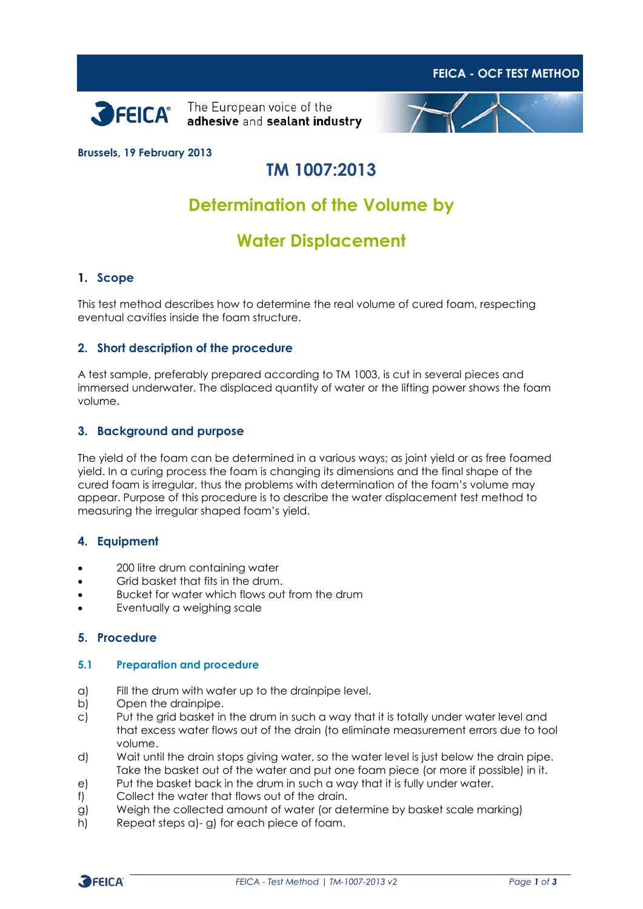



The European voice of the adhesive and sealant industry



### **Brussels, 19 February 2013**

# **TM 1007:2013**

# **Determination of the Volume by**

# **Water Displacement**

### **1. Scope**

This test method describes how to determine the real volume of cured foam, respecting eventual cavities inside the foam structure.

#### **2. Short description of the procedure**

A test sample, preferably prepared according to TM 1003, is cut in several pieces and immersed underwater. The displaced quantity of water or the lifting power shows the foam volume.

#### **3. Background and purpose**

The yield of the foam can be determined in a various ways; as joint yield or as free foamed yield. In a curing process the foam is changing its dimensions and the final shape of the cured foam is irregular, thus the problems with determination of the foam's volume may appear. Purpose of this procedure is to describe the water displacement test method to measuring the irregular shaped foam's yield.

#### **4. Equipment**

- 200 litre drum containing water
- Grid basket that fits in the drum.
- Bucket for water which flows out from the drum
- Eventually a weighing scale

### **5. Procedure**

#### **5.1 Preparation and procedure**

- a) Fill the drum with water up to the drainpipe level.
- b) Open the drainpipe.
- c) Put the grid basket in the drum in such a way that it is totally under water level and that excess water flows out of the drain (to eliminate measurement errors due to tool volume.
- d) Wait until the drain stops giving water, so the water level is just below the drain pipe. Take the basket out of the water and put one foam piece (or more if possible) in it.
- e) Put the basket back in the drum in such a way that it is fully under water.
- f) Collect the water that flows out of the drain.
- g) Weigh the collected amount of water (or determine by basket scale marking)
- h) Repeat steps a)- g) for each piece of foam.

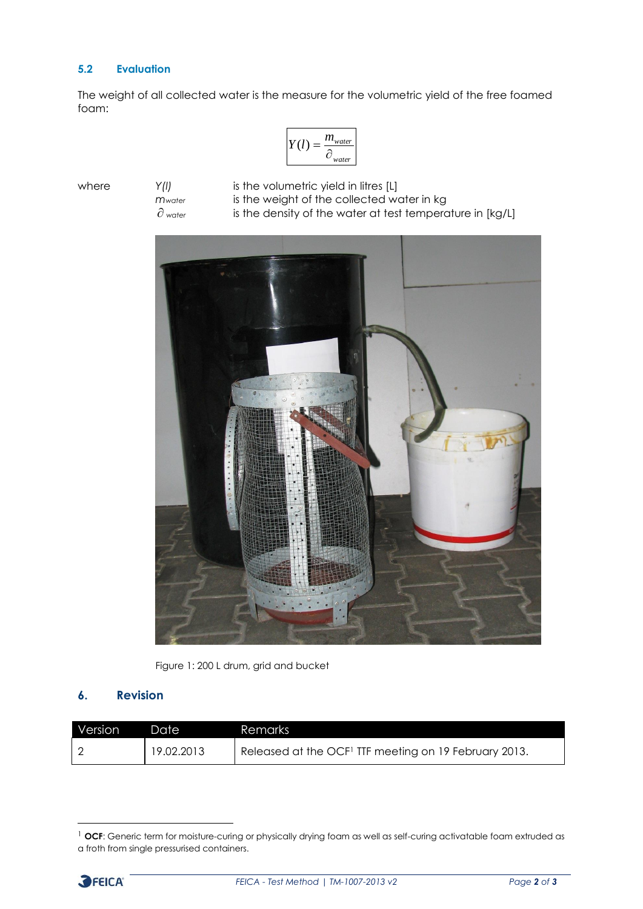## **5.2 Evaluation**

The weight of all collected water is the measure for the volumetric yield of the free foamed foam:

$$
Y(l) = \frac{m_{water}}{\partial_{water}}
$$

 $\partial$  water

where *Y(I)* is the volumetric yield in litres [L] *mwater* is the weight of the collected water in kg is the density of the water at test temperature in [kg/L]



Figure 1: 200 L drum, grid and bucket

## **6. Revision**

| Version | 'Date      | Remarks                                                           |
|---------|------------|-------------------------------------------------------------------|
|         | 19.02.2013 | Released at the OCF <sup>1</sup> TTF meeting on 19 February 2013. |

<sup>&</sup>lt;sup>1</sup> OCF: Generic term for moisture-curing or physically drying foam as well as self-curing activatable foam extruded as a froth from single pressurised containers.



-